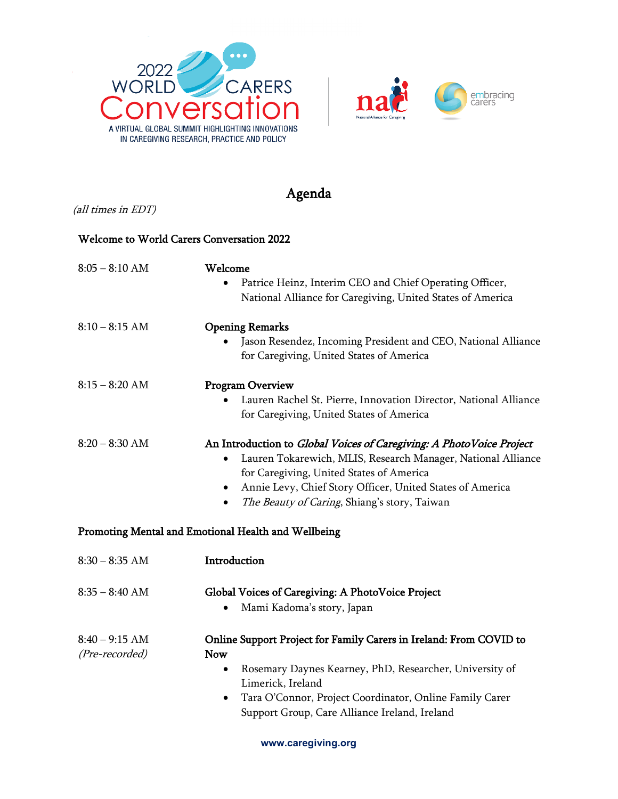



## Agenda

(all times in EDT)

## Welcome to World Carers Conversation 2022

| $8:05 - 8:10$ AM                                    | Welcome<br>Patrice Heinz, Interim CEO and Chief Operating Officer,<br>$\bullet$<br>National Alliance for Caregiving, United States of America                                                                                                                                                                   |  |
|-----------------------------------------------------|-----------------------------------------------------------------------------------------------------------------------------------------------------------------------------------------------------------------------------------------------------------------------------------------------------------------|--|
| $8:10 - 8:15$ AM                                    | <b>Opening Remarks</b><br>Jason Resendez, Incoming President and CEO, National Alliance<br>for Caregiving, United States of America                                                                                                                                                                             |  |
| $8:15 - 8:20$ AM                                    | Program Overview<br>Lauren Rachel St. Pierre, Innovation Director, National Alliance<br>for Caregiving, United States of America                                                                                                                                                                                |  |
| $8:20 - 8:30$ AM                                    | An Introduction to Global Voices of Caregiving: A PhotoVoice Project<br>Lauren Tokarewich, MLIS, Research Manager, National Alliance<br>٠<br>for Caregiving, United States of America<br>Annie Levy, Chief Story Officer, United States of America<br>$\bullet$<br>The Beauty of Caring, Shiang's story, Taiwan |  |
| Promoting Mental and Emotional Health and Wellbeing |                                                                                                                                                                                                                                                                                                                 |  |
| $8:30 - 8:35$ AM                                    | Introduction                                                                                                                                                                                                                                                                                                    |  |
| $8:35 - 8:40$ AM                                    | Global Voices of Caregiving: A PhotoVoice Project<br>Mami Kadoma's story, Japan                                                                                                                                                                                                                                 |  |
| $8:40 - 9:15$ AM<br>(Pre-recorded)                  | Online Support Project for Family Carers in Ireland: From COVID to<br><b>Now</b><br>Rosemary Daynes Kearney, PhD, Researcher, University of<br>٠<br>Limerick, Ireland<br>Tara O'Connor, Project Coordinator, Online Family Carer<br>٠<br>Support Group, Care Alliance Ireland, Ireland                          |  |

**www.caregiving.org**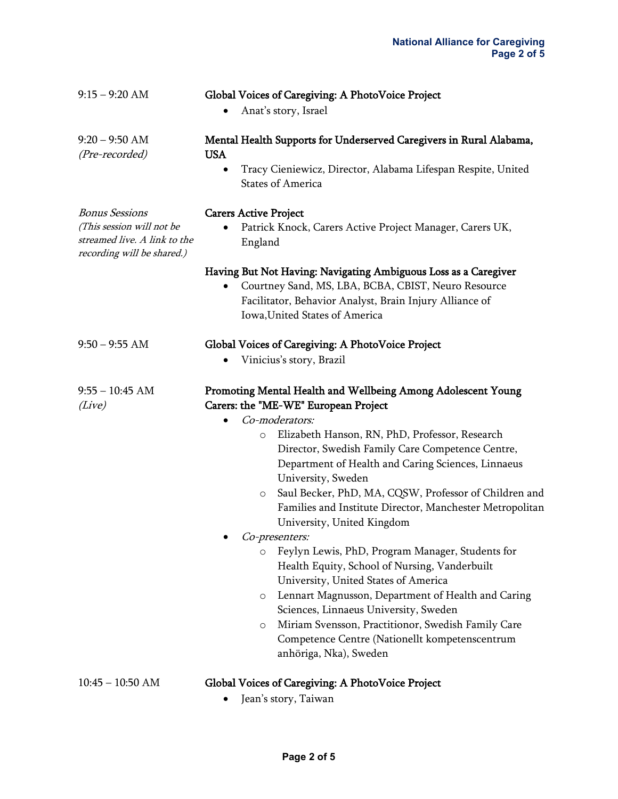| $9:15 - 9:20$ AM                                                                                                 | Global Voices of Caregiving: A PhotoVoice Project<br>Anat's story, Israel                                                                                                                                                                                                                                                                                                                                                                                                                                                                                                                                                                                                                                                                                                                                                                                                                               |
|------------------------------------------------------------------------------------------------------------------|---------------------------------------------------------------------------------------------------------------------------------------------------------------------------------------------------------------------------------------------------------------------------------------------------------------------------------------------------------------------------------------------------------------------------------------------------------------------------------------------------------------------------------------------------------------------------------------------------------------------------------------------------------------------------------------------------------------------------------------------------------------------------------------------------------------------------------------------------------------------------------------------------------|
| $9:20 - 9:50$ AM<br>(Pre-recorded)                                                                               | Mental Health Supports for Underserved Caregivers in Rural Alabama,<br><b>USA</b>                                                                                                                                                                                                                                                                                                                                                                                                                                                                                                                                                                                                                                                                                                                                                                                                                       |
|                                                                                                                  | Tracy Cieniewicz, Director, Alabama Lifespan Respite, United<br>$\bullet$<br><b>States of America</b>                                                                                                                                                                                                                                                                                                                                                                                                                                                                                                                                                                                                                                                                                                                                                                                                   |
| <b>Bonus Sessions</b><br>(This session will not be<br>streamed live. A link to the<br>recording will be shared.) | <b>Carers Active Project</b><br>Patrick Knock, Carers Active Project Manager, Carers UK,<br>٠<br>England                                                                                                                                                                                                                                                                                                                                                                                                                                                                                                                                                                                                                                                                                                                                                                                                |
|                                                                                                                  | Having But Not Having: Navigating Ambiguous Loss as a Caregiver<br>Courtney Sand, MS, LBA, BCBA, CBIST, Neuro Resource<br>Facilitator, Behavior Analyst, Brain Injury Alliance of<br>Iowa, United States of America                                                                                                                                                                                                                                                                                                                                                                                                                                                                                                                                                                                                                                                                                     |
| $9:50 - 9:55$ AM                                                                                                 | Global Voices of Caregiving: A PhotoVoice Project<br>Vinicius's story, Brazil<br>٠                                                                                                                                                                                                                                                                                                                                                                                                                                                                                                                                                                                                                                                                                                                                                                                                                      |
| $9:55 - 10:45$ AM<br>(Live)                                                                                      | Promoting Mental Health and Wellbeing Among Adolescent Young<br>Carers: the "ME-WE" European Project<br>Co-moderators:<br>Elizabeth Hanson, RN, PhD, Professor, Research<br>$\circ$<br>Director, Swedish Family Care Competence Centre,<br>Department of Health and Caring Sciences, Linnaeus<br>University, Sweden<br>Saul Becker, PhD, MA, CQSW, Professor of Children and<br>O<br>Families and Institute Director, Manchester Metropolitan<br>University, United Kingdom<br><i>Co-presenters:</i><br>Feylyn Lewis, PhD, Program Manager, Students for<br>$\circ$<br>Health Equity, School of Nursing, Vanderbuilt<br>University, United States of America<br>Lennart Magnusson, Department of Health and Caring<br>O<br>Sciences, Linnaeus University, Sweden<br>Miriam Svensson, Practitionor, Swedish Family Care<br>O<br>Competence Centre (Nationellt kompetenscentrum<br>anhöriga, Nka), Sweden |
| $10:45 - 10:50$ AM                                                                                               | Global Voices of Caregiving: A PhotoVoice Project<br>Jean's story, Taiwan                                                                                                                                                                                                                                                                                                                                                                                                                                                                                                                                                                                                                                                                                                                                                                                                                               |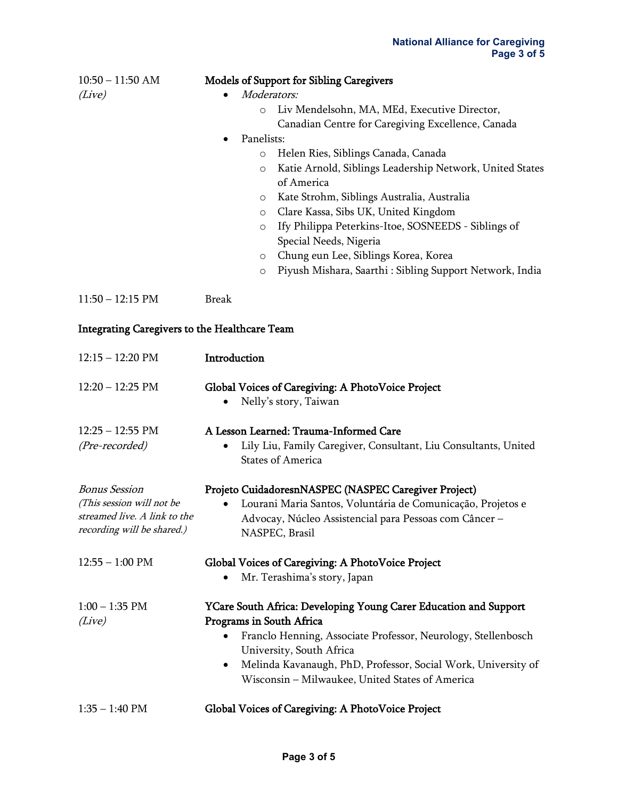| $10:50 - 11:50$ AM<br>(Live)                         | <b>Models of Support for Sibling Caregivers</b><br>Moderators:                                                        |
|------------------------------------------------------|-----------------------------------------------------------------------------------------------------------------------|
|                                                      | Liv Mendelsohn, MA, MEd, Executive Director,<br>$\circ$<br>Canadian Centre for Caregiving Excellence, Canada          |
|                                                      | Panelists:                                                                                                            |
|                                                      | Helen Ries, Siblings Canada, Canada<br>O                                                                              |
|                                                      | Katie Arnold, Siblings Leadership Network, United States<br>$\circ$                                                   |
|                                                      | of America                                                                                                            |
|                                                      | Kate Strohm, Siblings Australia, Australia<br>$\circ$                                                                 |
|                                                      | Clare Kassa, Sibs UK, United Kingdom<br>$\circ$                                                                       |
|                                                      | Ify Philippa Peterkins-Itoe, SOSNEEDS - Siblings of<br>$\circ$                                                        |
|                                                      | Special Needs, Nigeria                                                                                                |
|                                                      | Chung eun Lee, Siblings Korea, Korea<br>$\circ$                                                                       |
|                                                      | Piyush Mishara, Saarthi: Sibling Support Network, India<br>$\circ$                                                    |
| $11:50 - 12:15 \text{ PM}$                           | <b>Break</b>                                                                                                          |
| <b>Integrating Caregivers to the Healthcare Team</b> |                                                                                                                       |
|                                                      |                                                                                                                       |
| $12:15 - 12:20 \text{ PM}$                           | Introduction                                                                                                          |
| $12:20 - 12:25$ PM                                   | Global Voices of Caregiving: A PhotoVoice Project                                                                     |
|                                                      | Nelly's story, Taiwan                                                                                                 |
| $12:25 - 12:55$ PM                                   | A Lesson Learned: Trauma-Informed Care                                                                                |
| (Pre-recorded)                                       | Lily Liu, Family Caregiver, Consultant, Liu Consultants, United                                                       |
|                                                      | <b>States of America</b>                                                                                              |
| <b>Bonus Session</b>                                 | Projeto CuidadoresnNASPEC (NASPEC Caregiver Project)                                                                  |
| (This session will not be                            | Lourani Maria Santos, Voluntária de Comunicação, Projetos e                                                           |
| streamed live. A link to the                         | Advocay, Núcleo Assistencial para Pessoas com Câncer-                                                                 |
| recording will be shared.)                           | NASPEC, Brasil                                                                                                        |
| $12:55 - 1:00 \text{ PM}$                            | Global Voices of Caregiving: A PhotoVoice Project                                                                     |
|                                                      | Mr. Terashima's story, Japan                                                                                          |
| $1:00 - 1:35$ PM                                     | YCare South Africa: Developing Young Carer Education and Support                                                      |
| (Live)                                               | Programs in South Africa                                                                                              |
|                                                      | Franclo Henning, Associate Professor, Neurology, Stellenbosch                                                         |
|                                                      | University, South Africa                                                                                              |
|                                                      | Melinda Kavanaugh, PhD, Professor, Social Work, University of<br>٠<br>Wisconsin - Milwaukee, United States of America |
| $1:35 - 1:40$ PM                                     | Global Voices of Caregiving: A PhotoVoice Project                                                                     |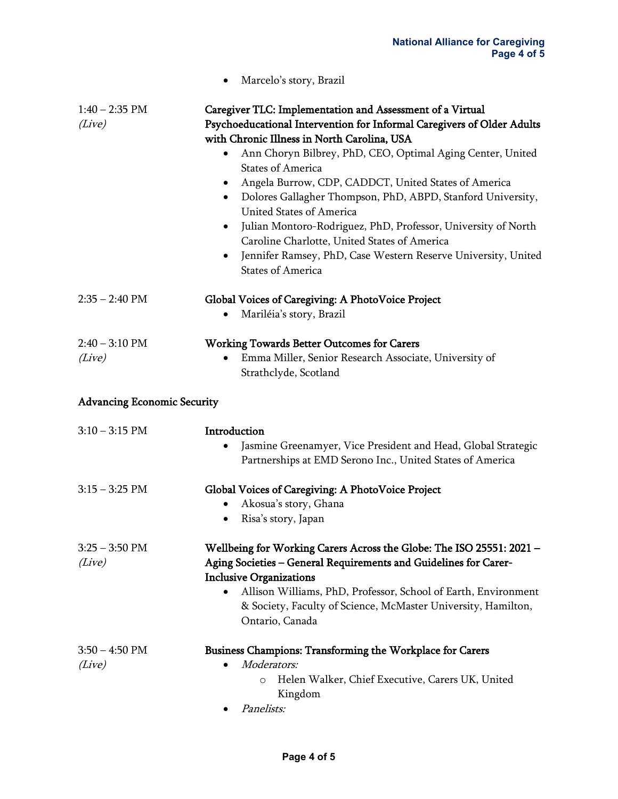|                                    | Marcelo's story, Brazil                                                                                                                                                                                                                                                                                                                                                                                                                                                                                                                                                                                                                                                                          |  |
|------------------------------------|--------------------------------------------------------------------------------------------------------------------------------------------------------------------------------------------------------------------------------------------------------------------------------------------------------------------------------------------------------------------------------------------------------------------------------------------------------------------------------------------------------------------------------------------------------------------------------------------------------------------------------------------------------------------------------------------------|--|
| $1:40 - 2:35$ PM<br>(Live)         | Caregiver TLC: Implementation and Assessment of a Virtual<br>Psychoeducational Intervention for Informal Caregivers of Older Adults<br>with Chronic Illness in North Carolina, USA<br>Ann Choryn Bilbrey, PhD, CEO, Optimal Aging Center, United<br><b>States of America</b><br>Angela Burrow, CDP, CADDCT, United States of America<br>٠<br>Dolores Gallagher Thompson, PhD, ABPD, Stanford University,<br>$\bullet$<br><b>United States of America</b><br>Julian Montoro-Rodriguez, PhD, Professor, University of North<br>$\bullet$<br>Caroline Charlotte, United States of America<br>Jennifer Ramsey, PhD, Case Western Reserve University, United<br>$\bullet$<br><b>States of America</b> |  |
| $2:35 - 2:40$ PM                   | Global Voices of Caregiving: A PhotoVoice Project<br>Mariléia's story, Brazil                                                                                                                                                                                                                                                                                                                                                                                                                                                                                                                                                                                                                    |  |
| $2:40 - 3:10$ PM<br>(Live)         | Working Towards Better Outcomes for Carers<br>Emma Miller, Senior Research Associate, University of<br>Strathclyde, Scotland                                                                                                                                                                                                                                                                                                                                                                                                                                                                                                                                                                     |  |
| <b>Advancing Economic Security</b> |                                                                                                                                                                                                                                                                                                                                                                                                                                                                                                                                                                                                                                                                                                  |  |
| $3:10 - 3:15$ PM                   | Introduction<br>Jasmine Greenamyer, Vice President and Head, Global Strategic<br>٠<br>Partnerships at EMD Serono Inc., United States of America                                                                                                                                                                                                                                                                                                                                                                                                                                                                                                                                                  |  |
| $3:15 - 3:25$ PM                   | Global Voices of Caregiving: A PhotoVoice Project<br>Akosua's story, Ghana<br>Risa's story, Japan                                                                                                                                                                                                                                                                                                                                                                                                                                                                                                                                                                                                |  |
| $3:25 - 3:50 \text{ PM}$<br>(Live) | Wellbeing for Working Carers Across the Globe: The ISO 25551: 2021 -<br>Aging Societies - General Requirements and Guidelines for Carer-<br><b>Inclusive Organizations</b><br>Allison Williams, PhD, Professor, School of Earth, Environment<br>& Society, Faculty of Science, McMaster University, Hamilton,<br>Ontario, Canada                                                                                                                                                                                                                                                                                                                                                                 |  |
| $3:50 - 4:50 \text{ PM}$<br>(Live) | Business Champions: Transforming the Workplace for Carers<br>Moderators:<br>Helen Walker, Chief Executive, Carers UK, United<br>$\circ$<br>Kingdom<br>Panelists:                                                                                                                                                                                                                                                                                                                                                                                                                                                                                                                                 |  |